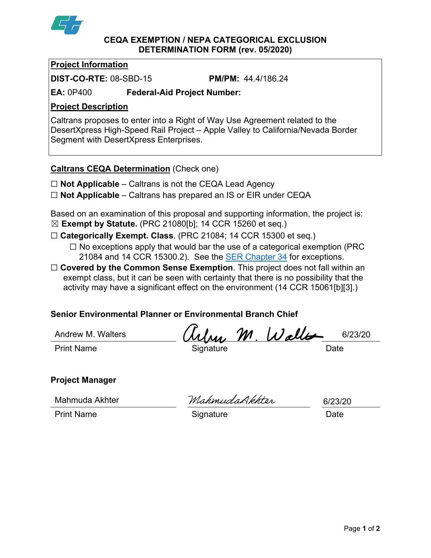

#### **CEQA EXEMPTION / NEPA CATEGORICAL EXCLUSION DETERMINATION FORM (rev. 05/2020)**

## **Project Information**

**DIST-CO-RTE:** 08-SBD-15 **PM/PM:** 44.4/186.24

**EA:** 0P400 **Federal-Aid Project Number:**

## **Project Description**

Caltrans proposes to enter into a Right of Way Use Agreement related to the DesertXpress High-Speed Rail Project – Apple Valley to California/Nevada Border Segment with DesertXpress Enterprises.

### **Caltrans CEQA Determination** (Check one)

- ☐ **Not Applicable** Caltrans is not the CEQA Lead Agency
- ☐ **Not Applicable** Caltrans has prepared an IS or EIR under CEQA

Based on an examination of this proposal and supporting information, the project is: ☒ **Exempt by Statute.** (PRC 21080[b]; 14 CCR 15260 et seq.)

- ☐ **Categorically Exempt. Class**. (PRC 21084; 14 CCR 15300 et seq.)
	- ☐ No exceptions apply that would bar the use of a categorical exemption (PRC 21084 and 14 CCR 15300.2). See the **SER Chapter 34** for exceptions.
- □ **Covered by the Common Sense Exemption**. This project does not fall within an exempt class, but it can be seen with certainty that there is no possibility that the activity may have a significant effect on the environment (14 CCR 15061[b][3].)

# **Senior Environmental Planner or Environmental Branch Chief**

Andrew M. Walters

Print Name **Signature** Signature Date

Wry M. Waller 6/23/20

# **Project Manager**

Mahmuda Akhter

MahmudaDkhter

6/23/20

Print Name **Signature Date**